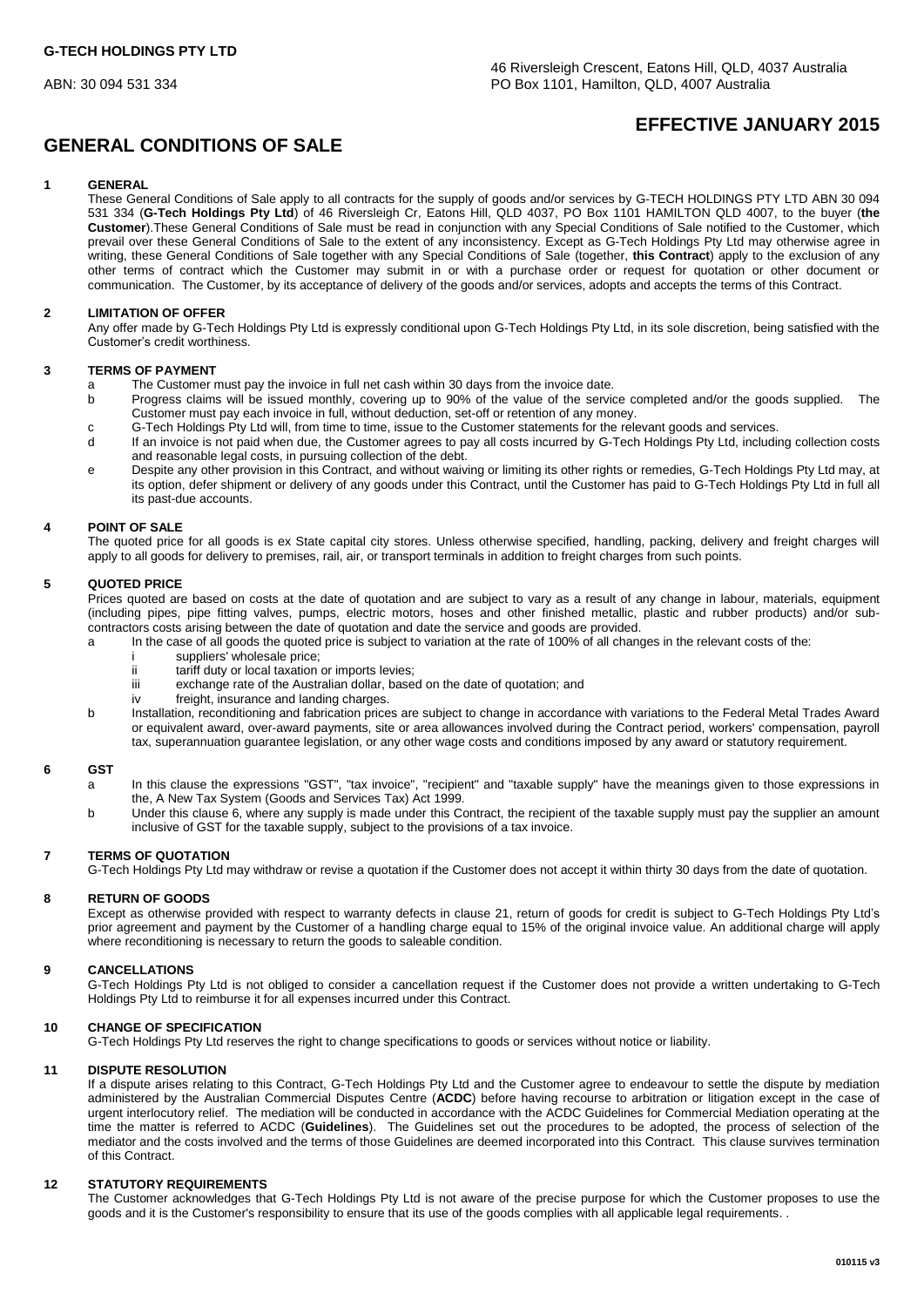# **GENERAL CONDITIONS OF SALE**

## **EFFECTIVE JANUARY 2015**

## **1 GENERAL**

These General Conditions of Sale apply to all contracts for the supply of goods and/or services by G-TECH HOLDINGS PTY LTD ABN 30 094 531 334 (**G-Tech Holdings Pty Ltd**) of 46 Riversleigh Cr, Eatons Hill, QLD 4037, PO Box 1101 HAMILTON QLD 4007, to the buyer (**the Customer**).These General Conditions of Sale must be read in conjunction with any Special Conditions of Sale notified to the Customer, which prevail over these General Conditions of Sale to the extent of any inconsistency. Except as G-Tech Holdings Pty Ltd may otherwise agree in writing, these General Conditions of Sale together with any Special Conditions of Sale (together, **this Contract**) apply to the exclusion of any other terms of contract which the Customer may submit in or with a purchase order or request for quotation or other document or communication. The Customer, by its acceptance of delivery of the goods and/or services, adopts and accepts the terms of this Contract.

## **2 LIMITATION OF OFFER**

Any offer made by G-Tech Holdings Pty Ltd is expressly conditional upon G-Tech Holdings Pty Ltd, in its sole discretion, being satisfied with the Customer's credit worthiness.

## **3 TERMS OF PAYMENT**

- a The Customer must pay the invoice in full net cash within 30 days from the invoice date.<br>b Progress claims will be issued monthly, covering up to 90% of the value of the servic
- Progress claims will be issued monthly, covering up to 90% of the value of the service completed and/or the goods supplied. The Customer must pay each invoice in full, without deduction, set-off or retention of any money.
- c G-Tech Holdings Pty Ltd will, from time to time, issue to the Customer statements for the relevant goods and services.
- d If an invoice is not paid when due, the Customer agrees to pay all costs incurred by G-Tech Holdings Pty Ltd, including collection costs and reasonable legal costs, in pursuing collection of the debt.
- e Despite any other provision in this Contract, and without waiving or limiting its other rights or remedies, G-Tech Holdings Pty Ltd may, at its option, defer shipment or delivery of any goods under this Contract, until the Customer has paid to G-Tech Holdings Pty Ltd in full all its past-due accounts.

## **4 POINT OF SALE**

The quoted price for all goods is ex State capital city stores. Unless otherwise specified, handling, packing, delivery and freight charges will apply to all goods for delivery to premises, rail, air, or transport terminals in addition to freight charges from such points.

## **5 QUOTED PRICE**

Prices quoted are based on costs at the date of quotation and are subject to vary as a result of any change in labour, materials, equipment (including pipes, pipe fitting valves, pumps, electric motors, hoses and other finished metallic, plastic and rubber products) and/or subcontractors costs arising between the date of quotation and date the service and goods are provided.

- a In the case of all goods the quoted price is subject to variation at the rate of 100% of all changes in the relevant costs of the:
	- i suppliers' wholesale price;<br>ii tariff duty or local taxation
	- ii tariff duty or local taxation or imports levies;
	- exchange rate of the Australian dollar, based on the date of quotation; and
	- iv freight, insurance and landing charges.
- b Installation, reconditioning and fabrication prices are subject to change in accordance with variations to the Federal Metal Trades Award or equivalent award, over-award payments, site or area allowances involved during the Contract period, workers' compensation, payroll tax, superannuation guarantee legislation, or any other wage costs and conditions imposed by any award or statutory requirement.

#### **6 GST**

- a In this clause the expressions "GST", "tax invoice", "recipient" and "taxable supply" have the meanings given to those expressions in the, A New Tax System (Goods and Services Tax) Act 1999.
- b Under this clause 6, where any supply is made under this Contract, the recipient of the taxable supply must pay the supplier an amount inclusive of GST for the taxable supply, subject to the provisions of a tax invoice.

#### **7 TERMS OF QUOTATION**

G-Tech Holdings Pty Ltd may withdraw or revise a quotation if the Customer does not accept it within thirty 30 days from the date of quotation.

#### **8 RETURN OF GOODS**

Except as otherwise provided with respect to warranty defects in clause 21, return of goods for credit is subject to G-Tech Holdings Pty Ltd's prior agreement and payment by the Customer of a handling charge equal to 15% of the original invoice value. An additional charge will apply where reconditioning is necessary to return the goods to saleable condition.

## **9 CANCELLATIONS**

G-Tech Holdings Pty Ltd is not obliged to consider a cancellation request if the Customer does not provide a written undertaking to G-Tech Holdings Pty Ltd to reimburse it for all expenses incurred under this Contract.

## **10 CHANGE OF SPECIFICATION**

G-Tech Holdings Pty Ltd reserves the right to change specifications to goods or services without notice or liability.

#### **11 DISPUTE RESOLUTION**

If a dispute arises relating to this Contract, G-Tech Holdings Pty Ltd and the Customer agree to endeavour to settle the dispute by mediation administered by the Australian Commercial Disputes Centre (**ACDC**) before having recourse to arbitration or litigation except in the case of urgent interlocutory relief. The mediation will be conducted in accordance with the ACDC Guidelines for Commercial Mediation operating at the time the matter is referred to ACDC (**Guidelines**). The Guidelines set out the procedures to be adopted, the process of selection of the mediator and the costs involved and the terms of those Guidelines are deemed incorporated into this Contract. This clause survives termination of this Contract.

#### **12 STATUTORY REQUIREMENTS**

The Customer acknowledges that G-Tech Holdings Pty Ltd is not aware of the precise purpose for which the Customer proposes to use the goods and it is the Customer's responsibility to ensure that its use of the goods complies with all applicable legal requirements. .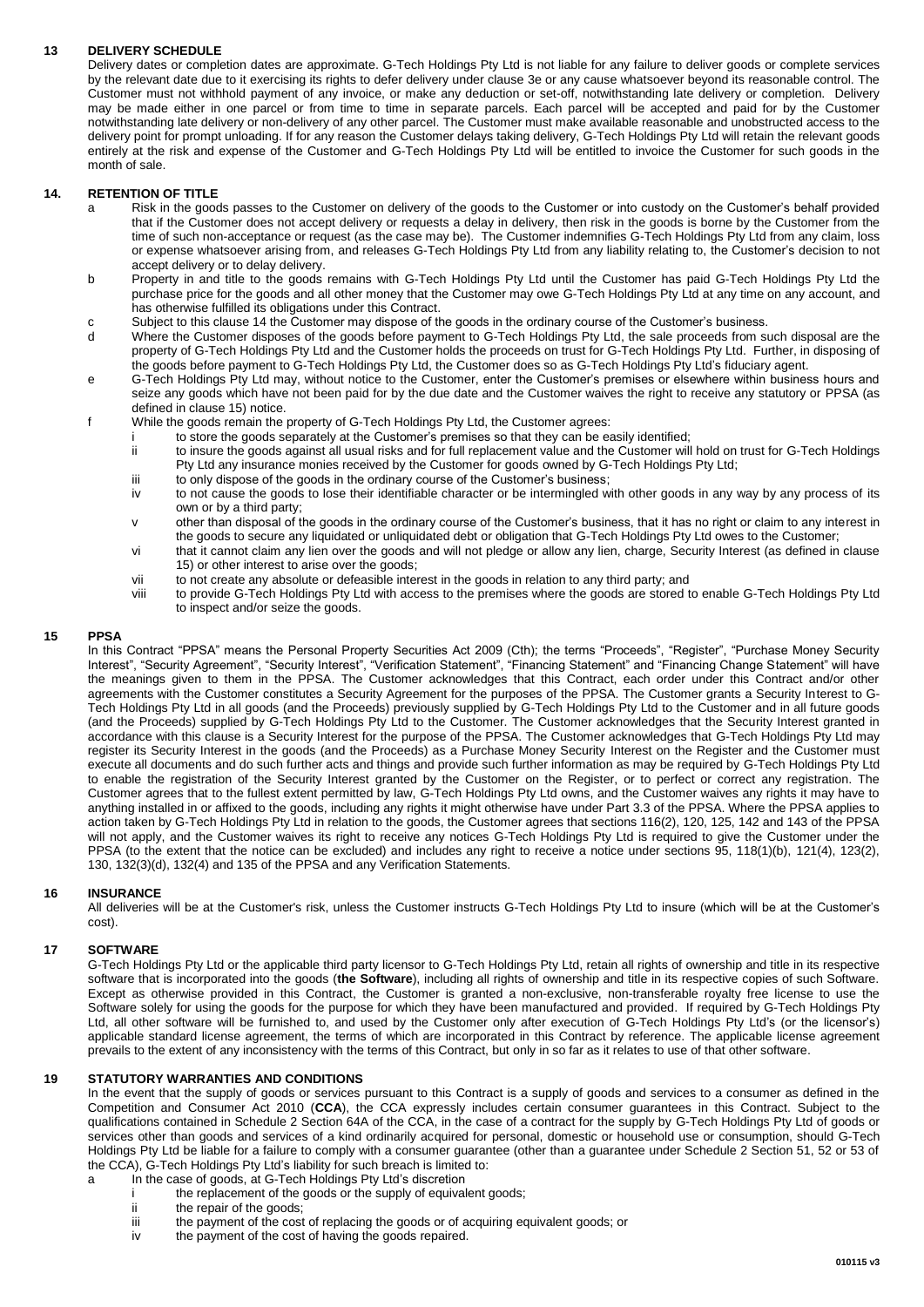## **13 DELIVERY SCHEDULE**

Delivery dates or completion dates are approximate. G-Tech Holdings Pty Ltd is not liable for any failure to deliver goods or complete services by the relevant date due to it exercising its rights to defer delivery under clause 3e or any cause whatsoever beyond its reasonable control. The Customer must not withhold payment of any invoice, or make any deduction or set-off, notwithstanding late delivery or completion. Delivery may be made either in one parcel or from time to time in separate parcels. Each parcel will be accepted and paid for by the Customer notwithstanding late delivery or non-delivery of any other parcel. The Customer must make available reasonable and unobstructed access to the delivery point for prompt unloading. If for any reason the Customer delays taking delivery, G-Tech Holdings Pty Ltd will retain the relevant goods entirely at the risk and expense of the Customer and G-Tech Holdings Pty Ltd will be entitled to invoice the Customer for such goods in the month of sale.

#### **14. RETENTION OF TITLE**

- a Risk in the goods passes to the Customer on delivery of the goods to the Customer or into custody on the Customer's behalf provided that if the Customer does not accept delivery or requests a delay in delivery, then risk in the goods is borne by the Customer from the time of such non-acceptance or request (as the case may be). The Customer indemnifies G-Tech Holdings Pty Ltd from any claim, loss or expense whatsoever arising from, and releases G-Tech Holdings Pty Ltd from any liability relating to, the Customer's decision to not accept delivery or to delay delivery.
- b Property in and title to the goods remains with G-Tech Holdings Pty Ltd until the Customer has paid G-Tech Holdings Pty Ltd the purchase price for the goods and all other money that the Customer may owe G-Tech Holdings Pty Ltd at any time on any account, and has otherwise fulfilled its obligations under this Contract.
- c Subject to this clause 14 the Customer may dispose of the goods in the ordinary course of the Customer's business.<br>Where the Customer disposes of the goods before payment to G-Tech Holdings Pty Ltd. the sale proceeds fro
- Where the Customer disposes of the goods before payment to G-Tech Holdings Pty Ltd, the sale proceeds from such disposal are the property of G-Tech Holdings Pty Ltd and the Customer holds the proceeds on trust for G-Tech Holdings Pty Ltd. Further, in disposing of the goods before payment to G-Tech Holdings Pty Ltd, the Customer does so as G-Tech Holdings Pty Ltd's fiduciary agent.
- e G-Tech Holdings Pty Ltd may, without notice to the Customer, enter the Customer's premises or elsewhere within business hours and seize any goods which have not been paid for by the due date and the Customer waives the right to receive any statutory or PPSA (as defined in clause 15) notice.
- f While the goods remain the property of G-Tech Holdings Pty Ltd, the Customer agrees:
	- i to store the goods separately at the Customer's premises so that they can be easily identified;<br>ii to insure the goods against all usual risks and for full replacement value and the Customer will
	- to insure the goods against all usual risks and for full replacement value and the Customer will hold on trust for G-Tech Holdings Pty Ltd any insurance monies received by the Customer for goods owned by G-Tech Holdings Pty Ltd;
	- iii to only dispose of the goods in the ordinary course of the Customer's business;
	- iv to not cause the goods to lose their identifiable character or be intermingled with other goods in any way by any process of its own or by a third party;
	- v other than disposal of the goods in the ordinary course of the Customer's business, that it has no right or claim to any interest in the goods to secure any liquidated or unliquidated debt or obligation that G-Tech Holdings Pty Ltd owes to the Customer;
	- vi that it cannot claim any lien over the goods and will not pledge or allow any lien, charge, Security Interest (as defined in clause 15) or other interest to arise over the goods;
	- vii to not create any absolute or defeasible interest in the goods in relation to any third party; and<br>viii to provide G-Tech Holdings Pty Ltd with access to the premises where the goods are stored to
	- to provide G-Tech Holdings Pty Ltd with access to the premises where the goods are stored to enable G-Tech Holdings Pty Ltd to inspect and/or seize the goods.

#### **15 PPSA**

In this Contract "PPSA" means the Personal Property Securities Act 2009 (Cth); the terms "Proceeds", "Register", "Purchase Money Security Interest", "Security Agreement", "Security Interest", "Verification Statement", "Financing Statement" and "Financing Change Statement" will have the meanings given to them in the PPSA. The Customer acknowledges that this Contract, each order under this Contract and/or other agreements with the Customer constitutes a Security Agreement for the purposes of the PPSA. The Customer grants a Security Interest to G-Tech Holdings Pty Ltd in all goods (and the Proceeds) previously supplied by G-Tech Holdings Pty Ltd to the Customer and in all future goods (and the Proceeds) supplied by G-Tech Holdings Pty Ltd to the Customer. The Customer acknowledges that the Security Interest granted in accordance with this clause is a Security Interest for the purpose of the PPSA. The Customer acknowledges that G-Tech Holdings Pty Ltd may register its Security Interest in the goods (and the Proceeds) as a Purchase Money Security Interest on the Register and the Customer must execute all documents and do such further acts and things and provide such further information as may be required by G-Tech Holdings Pty Ltd to enable the registration of the Security Interest granted by the Customer on the Register, or to perfect or correct any registration. The Customer agrees that to the fullest extent permitted by law, G-Tech Holdings Pty Ltd owns, and the Customer waives any rights it may have to anything installed in or affixed to the goods, including any rights it might otherwise have under Part 3.3 of the PPSA. Where the PPSA applies to action taken by G-Tech Holdings Pty Ltd in relation to the goods, the Customer agrees that sections 116(2), 120, 125, 142 and 143 of the PPSA will not apply, and the Customer waives its right to receive any notices G-Tech Holdings Pty Ltd is required to give the Customer under the PPSA (to the extent that the notice can be excluded) and includes any right to receive a notice under sections 95, 118(1)(b), 121(4), 123(2), 130, 132(3)(d), 132(4) and 135 of the PPSA and any Verification Statements.

## **16 INSURANCE**

All deliveries will be at the Customer's risk, unless the Customer instructs G-Tech Holdings Pty Ltd to insure (which will be at the Customer's cost).

#### **17 SOFTWARE**

G-Tech Holdings Pty Ltd or the applicable third party licensor to G-Tech Holdings Pty Ltd, retain all rights of ownership and title in its respective software that is incorporated into the goods (**the Software**), including all rights of ownership and title in its respective copies of such Software. Except as otherwise provided in this Contract, the Customer is granted a non-exclusive, non-transferable royalty free license to use the Software solely for using the goods for the purpose for which they have been manufactured and provided. If required by G-Tech Holdings Pty Ltd, all other software will be furnished to, and used by the Customer only after execution of G-Tech Holdings Pty Ltd's (or the licensor's) applicable standard license agreement, the terms of which are incorporated in this Contract by reference. The applicable license agreement prevails to the extent of any inconsistency with the terms of this Contract, but only in so far as it relates to use of that other software.

## **19 STATUTORY WARRANTIES AND CONDITIONS**

In the event that the supply of goods or services pursuant to this Contract is a supply of goods and services to a consumer as defined in the Competition and Consumer Act 2010 (**CCA**), the CCA expressly includes certain consumer guarantees in this Contract. Subject to the qualifications contained in Schedule 2 Section 64A of the CCA, in the case of a contract for the supply by G-Tech Holdings Pty Ltd of goods or services other than goods and services of a kind ordinarily acquired for personal, domestic or household use or consumption, should G-Tech Holdings Pty Ltd be liable for a failure to comply with a consumer guarantee (other than a guarantee under Schedule 2 Section 51, 52 or 53 of the CCA), G-Tech Holdings Pty Ltd's liability for such breach is limited to:

- a In the case of goods, at G-Tech Holdings Pty Ltd's discretion
	- the replacement of the goods or the supply of equivalent goods;
	- ii the repair of the goods;
	- iii the payment of the cost of replacing the goods or of acquiring equivalent goods; or
	- iv the payment of the cost of having the goods repaired.